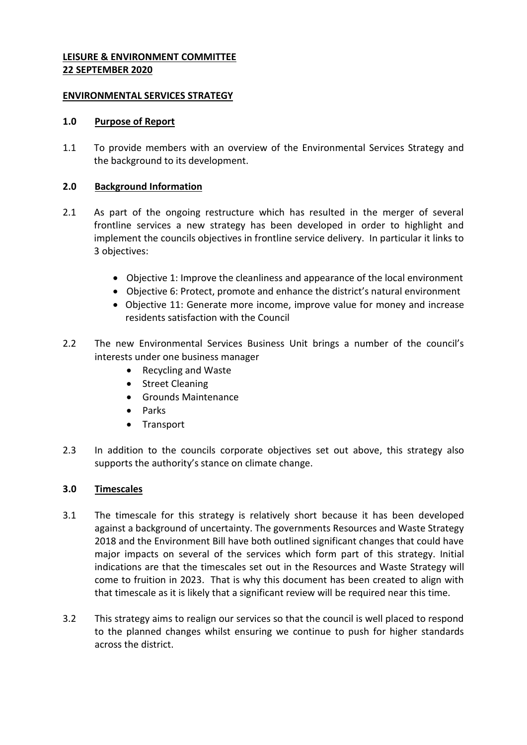# **LEISURE & ENVIRONMENT COMMITTEE 22 SEPTEMBER 2020**

### **ENVIRONMENTAL SERVICES STRATEGY**

#### **1.0 Purpose of Report**

1.1 To provide members with an overview of the Environmental Services Strategy and the background to its development.

#### **2.0 Background Information**

- 2.1 As part of the ongoing restructure which has resulted in the merger of several frontline services a new strategy has been developed in order to highlight and implement the councils objectives in frontline service delivery. In particular it links to 3 objectives:
	- Objective 1: Improve the cleanliness and appearance of the local environment
	- Objective 6: Protect, promote and enhance the district's natural environment
	- Objective 11: Generate more income, improve value for money and increase residents satisfaction with the Council
- 2.2 The new Environmental Services Business Unit brings a number of the council's interests under one business manager
	- Recycling and Waste
	- Street Cleaning
	- Grounds Maintenance
	- Parks
	- Transport
- 2.3 In addition to the councils corporate objectives set out above, this strategy also supports the authority's stance on climate change.

### **3.0 Timescales**

- 3.1 The timescale for this strategy is relatively short because it has been developed against a background of uncertainty. The governments Resources and Waste Strategy 2018 and the Environment Bill have both outlined significant changes that could have major impacts on several of the services which form part of this strategy. Initial indications are that the timescales set out in the Resources and Waste Strategy will come to fruition in 2023. That is why this document has been created to align with that timescale as it is likely that a significant review will be required near this time.
- 3.2 This strategy aims to realign our services so that the council is well placed to respond to the planned changes whilst ensuring we continue to push for higher standards across the district.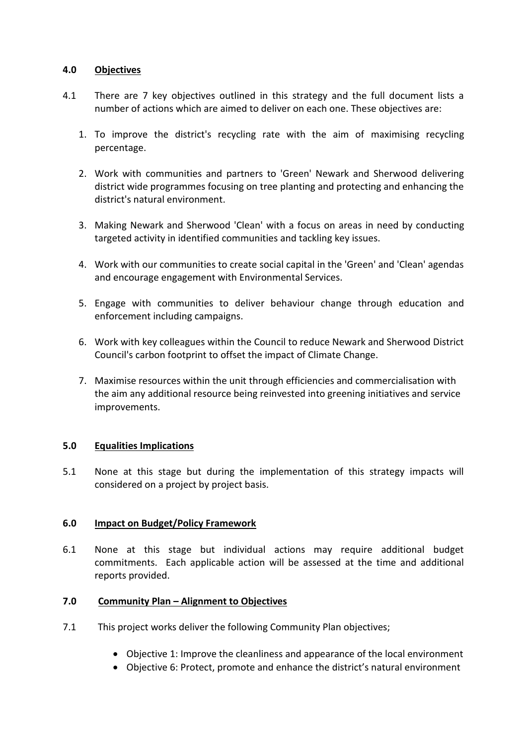# **4.0 Objectives**

- 4.1 There are 7 key objectives outlined in this strategy and the full document lists a number of actions which are aimed to deliver on each one. These objectives are:
	- 1. To improve the district's recycling rate with the aim of maximising recycling percentage.
	- 2. Work with communities and partners to 'Green' Newark and Sherwood delivering district wide programmes focusing on tree planting and protecting and enhancing the district's natural environment.
	- 3. Making Newark and Sherwood 'Clean' with a focus on areas in need by conducting targeted activity in identified communities and tackling key issues.
	- 4. Work with our communities to create social capital in the 'Green' and 'Clean' agendas and encourage engagement with Environmental Services.
	- 5. Engage with communities to deliver behaviour change through education and enforcement including campaigns.
	- 6. Work with key colleagues within the Council to reduce Newark and Sherwood District Council's carbon footprint to offset the impact of Climate Change.
	- 7. Maximise resources within the unit through efficiencies and commercialisation with the aim any additional resource being reinvested into greening initiatives and service improvements.

### **5.0 Equalities Implications**

5.1 None at this stage but during the implementation of this strategy impacts will considered on a project by project basis.

### **6.0 Impact on Budget/Policy Framework**

6.1 None at this stage but individual actions may require additional budget commitments. Each applicable action will be assessed at the time and additional reports provided.

### **7.0 Community Plan – Alignment to Objectives**

- 7.1 This project works deliver the following Community Plan objectives;
	- Objective 1: Improve the cleanliness and appearance of the local environment
	- Objective 6: Protect, promote and enhance the district's natural environment